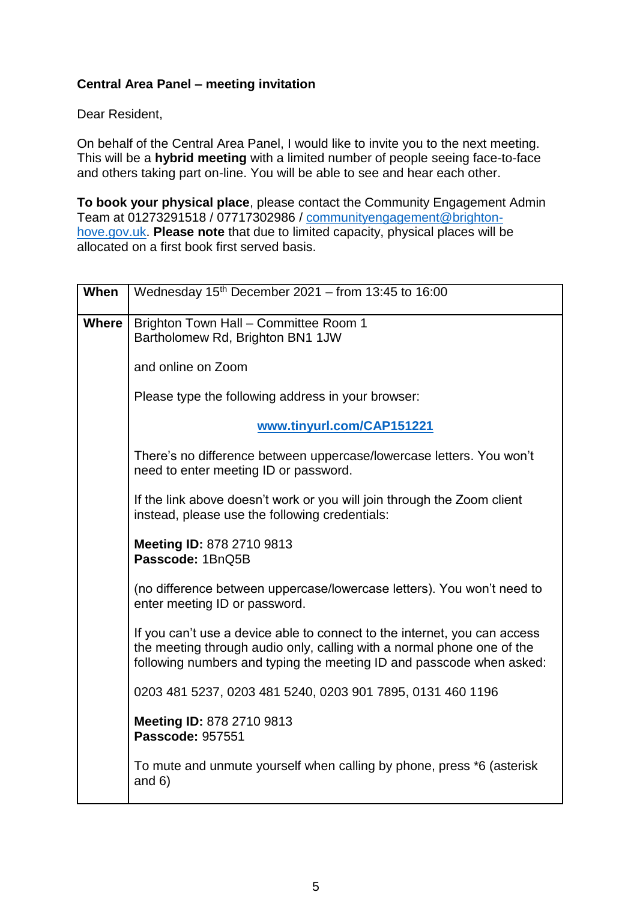## **Central Area Panel – meeting invitation**

Dear Resident,

On behalf of the Central Area Panel, I would like to invite you to the next meeting. This will be a **hybrid meeting** with a limited number of people seeing face-to-face and others taking part on-line. You will be able to see and hear each other.

**To book your physical place**, please contact the Community Engagement Admin Team at 01273291518 / 07717302986 / [communityengagement@brighton](mailto:communityengagement@brighton-hove.gov.uk)[hove.gov.uk.](mailto:communityengagement@brighton-hove.gov.uk) **Please note** that due to limited capacity, physical places will be allocated on a first book first served basis.

| When         | Wednesday $15th$ December 2021 – from 13:45 to 16:00                                                                                                                                                                        |
|--------------|-----------------------------------------------------------------------------------------------------------------------------------------------------------------------------------------------------------------------------|
| <b>Where</b> | Brighton Town Hall - Committee Room 1<br>Bartholomew Rd, Brighton BN1 1JW                                                                                                                                                   |
|              | and online on Zoom                                                                                                                                                                                                          |
|              | Please type the following address in your browser:                                                                                                                                                                          |
|              | www.tinyurl.com/CAP151221                                                                                                                                                                                                   |
|              | There's no difference between uppercase/lowercase letters. You won't<br>need to enter meeting ID or password.                                                                                                               |
|              | If the link above doesn't work or you will join through the Zoom client<br>instead, please use the following credentials:                                                                                                   |
|              | Meeting ID: 878 2710 9813<br>Passcode: 1BnQ5B                                                                                                                                                                               |
|              | (no difference between uppercase/lowercase letters). You won't need to<br>enter meeting ID or password.                                                                                                                     |
|              | If you can't use a device able to connect to the internet, you can access<br>the meeting through audio only, calling with a normal phone one of the<br>following numbers and typing the meeting ID and passcode when asked: |
|              | 0203 481 5237, 0203 481 5240, 0203 901 7895, 0131 460 1196                                                                                                                                                                  |
|              | Meeting ID: 878 2710 9813<br><b>Passcode: 957551</b>                                                                                                                                                                        |
|              | To mute and unmute yourself when calling by phone, press *6 (asterisk<br>and $6)$                                                                                                                                           |